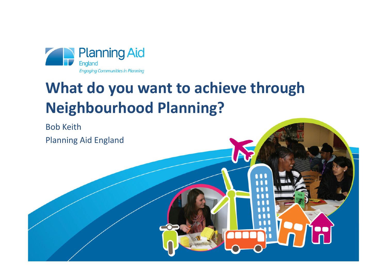

# **What do you want to achieve through Neighbourhood Planning?**

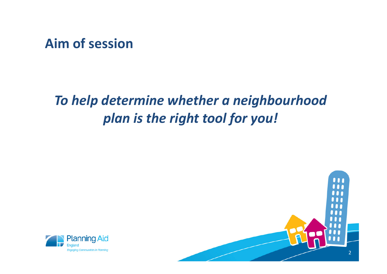**Aim of session**

### *To help determine whether a neighbourhood plan is the right tool for you!*



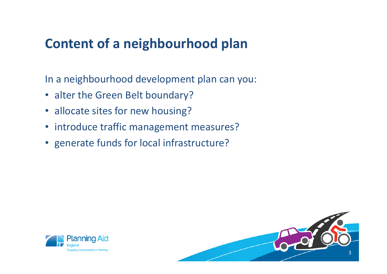### **Content of a neighbourhood plan**

In a neighbourhood development plan can you:

- alter the Green Belt boundary?
- allocate sites for new housing?
- introduce traffic management measures?
- generate funds for local infrastructure?



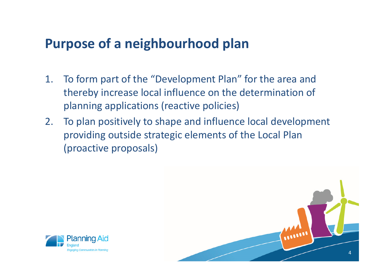#### **Purpose of a neighbourhood plan**

- 1. To form part of the "Development Plan" for the area and thereby increase local influence on the determination of planning applications (reactive policies)
- 2. To plan positively to shape and influence local development providing outside strategic elements of the Local Plan (proactive proposals)



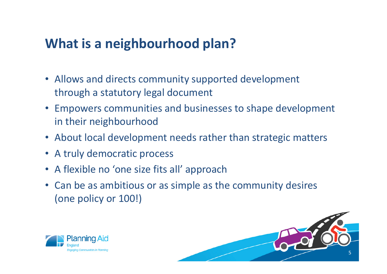### **What is a neighbourhood plan?**

- Allows and directs community supported development through a statutory legal document
- Empowers communities and businesses to shape development in their neighbourhood
- About local development needs rather than strategic matters
- A truly democratic process
- A flexible no 'one size fits all' approach
- Can be as ambitious or as simple as the community desires (one policy or 100!)



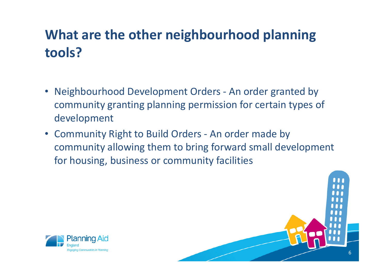## **What are the other neighbourhood planning tools?**

- • Neighbourhood Development Orders - An order granted by community granting planning permission for certain types of development
- Community Right to Build Orders An order made by community allowing them to bring forward small development for housing, business or community facilities



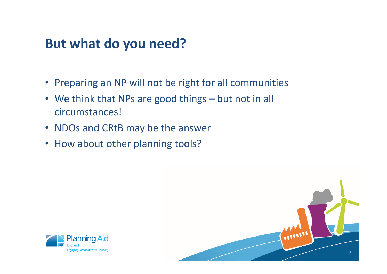#### **But what do you need?**

- Preparing an NP will not be right for all communities
- We think that NPs are good things but not in all circumstances!
- NDOs and CRtB may be the answer
- How about other planning tools?



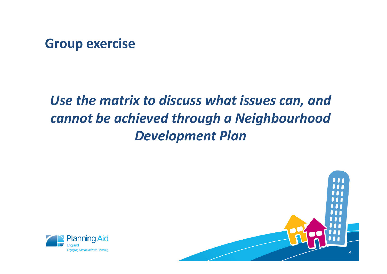#### **Group exercise**

## *Use the matrix to discuss what issues can, and cannot be achieved through a Neighbourhood Development Plan*



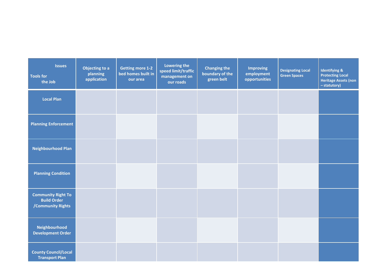| <b>Issues</b><br><b>Tools for</b><br>the Job                         | Objecting to a<br>planning<br>application | <b>Getting more 1-2</b><br>bed homes built in<br>our area | Lowering the<br>speed limit/traffic<br>management on<br>our roads | <b>Changing the</b><br>boundary of the<br>green belt | <b>Improving</b><br>employment<br>opportunities | <b>Designating Local</b><br><b>Green Spaces</b> | <b>Identifying &amp;</b><br><b>Protecting Local</b><br><b>Heritage Assets (non</b><br>- statutory) |
|----------------------------------------------------------------------|-------------------------------------------|-----------------------------------------------------------|-------------------------------------------------------------------|------------------------------------------------------|-------------------------------------------------|-------------------------------------------------|----------------------------------------------------------------------------------------------------|
| <b>Local Plan</b>                                                    |                                           |                                                           |                                                                   |                                                      |                                                 |                                                 |                                                                                                    |
| <b>Planning Enforcement</b>                                          |                                           |                                                           |                                                                   |                                                      |                                                 |                                                 |                                                                                                    |
| <b>Neighbourhood Plan</b>                                            |                                           |                                                           |                                                                   |                                                      |                                                 |                                                 |                                                                                                    |
| <b>Planning Condition</b>                                            |                                           |                                                           |                                                                   |                                                      |                                                 |                                                 |                                                                                                    |
| <b>Community Right To</b><br><b>Build Order</b><br>/Community Rights |                                           |                                                           |                                                                   |                                                      |                                                 |                                                 |                                                                                                    |
| Neighbourhood<br><b>Development Order</b>                            |                                           |                                                           |                                                                   |                                                      |                                                 |                                                 |                                                                                                    |
| <b>County Council/Local</b><br><b>Transport Plan</b>                 |                                           |                                                           |                                                                   |                                                      |                                                 |                                                 |                                                                                                    |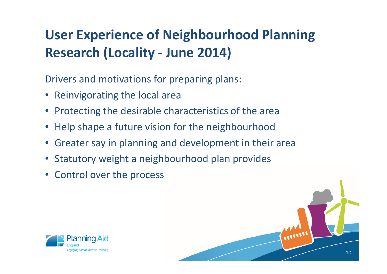## **User Experience of Neighbourhood Planning Research (Locality - June 2014)**

Drivers and motivations for preparing plans:

- Reinvigorating the local area
- Protecting the desirable characteristics of the area
- Help shape a future vision for the neighbourhood
- •Greater say in planning and development in their area
- Statutory weight a neighbourhood plan provides
- Control over the process



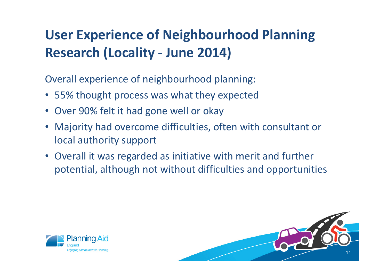## **User Experience of Neighbourhood Planning Research (Locality - June 2014)**

Overall experience of neighbourhood planning:

- 55% thought process was what they expected
- Over 90% felt it had gone well or okay
- Majority had overcome difficulties, often with consultant or local authority support
- Overall it was regarded as initiative with merit and further potential, although not without difficulties and opportunities



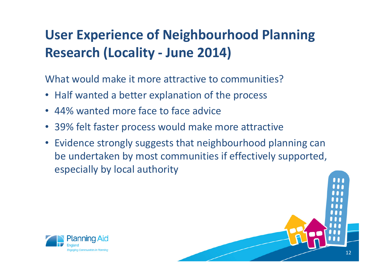## **User Experience of Neighbourhood Planning Research (Locality - June 2014)**

What would make it more attractive to communities?

- Half wanted a better explanation of the process
- 44% wanted more face to face advice
- 39% felt faster process would make more attractive
- Evidence strongly suggests that neighbourhood planning can be undertaken by most communities if effectively supported, especially by local authority